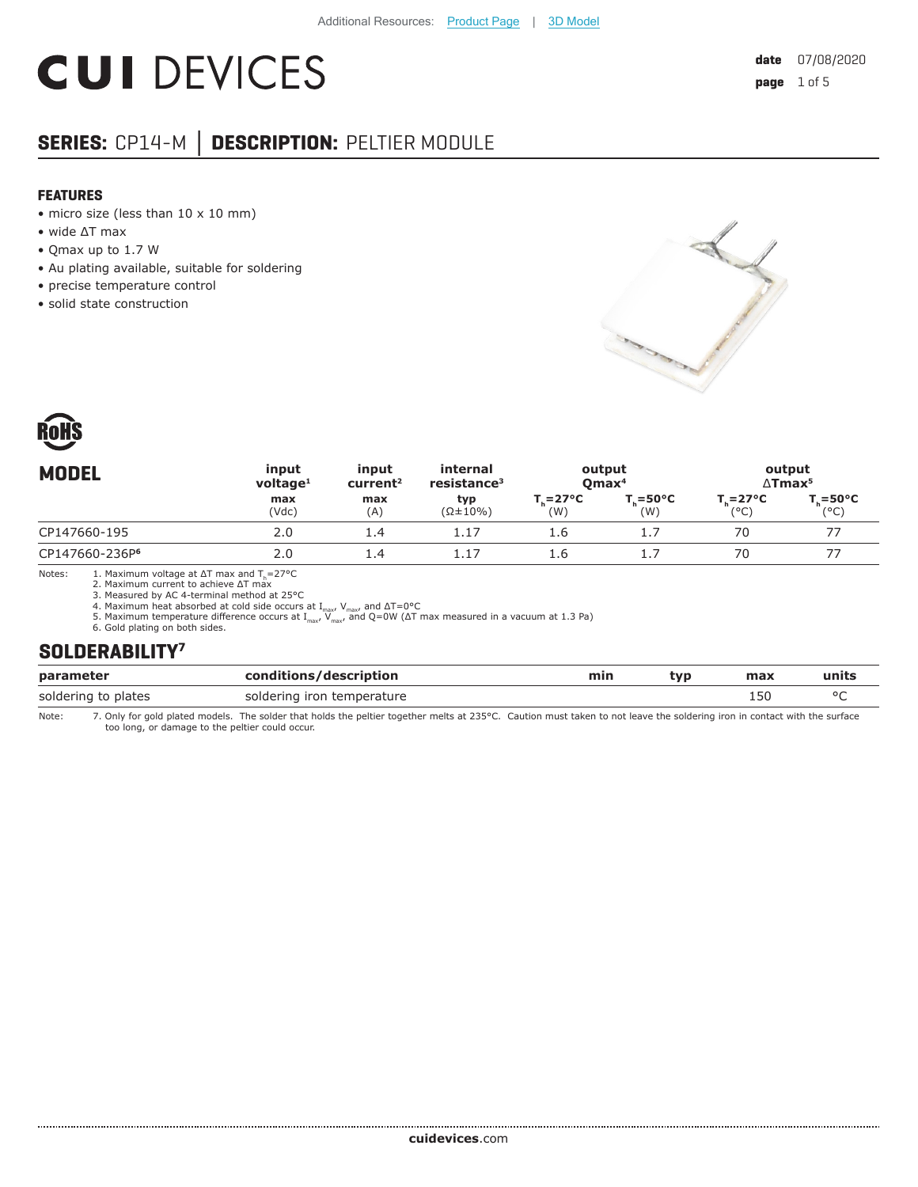# **CUI DEVICES**

# **SERIES:** CP14-M **│ DESCRIPTION:** PELTIER MODULE

#### **FEATURES**

- micro size (less than 10 x 10 mm)
- wide ΔT max
- Qmax up to 1.7 W
- Au plating available, suitable for soldering
- precise temperature control
- solid state construction





| input<br>voltage $1$ | input<br>current <sup>2</sup> | internal<br>resistance <sup>3</sup> | output<br>Omax <sup>4</sup>      |                                   | output<br>$\Delta$ Tmax <sup>5</sup> |                            |
|----------------------|-------------------------------|-------------------------------------|----------------------------------|-----------------------------------|--------------------------------------|----------------------------|
| max<br>(Vdc)         | max<br>(A)                    | typ<br>$(\Omega \pm 10\%)$          | $T_{\rm c} = 27^{\circ}C$<br>(W) | $T_{\rm c} = 50^{\circ}$ C<br>(W) | $T_{\rm c} = 27^{\circ}C$<br>(°C)    | $T_c = 50^{\circ}C$<br>(°C |
| 2.0                  | $\overline{1.4}$              | 1.17                                | 1.6                              | 1.7                               | 70                                   |                            |
| 2.0                  | 4.4                           | 1.17                                | 1.6                              |                                   | 70                                   |                            |
|                      |                               |                                     |                                  |                                   |                                      |                            |

Notes: 1. Maximum voltage at  $\Delta T$  max and  $T_h$ =27°C<br>2. Maximum current to achieve  $\Delta T$  max

2. Maximum current to achieve ΔT max<br>3. Measured by AC 4-terminal method at 25°C<br>4. Maximum heat absorbed at cold side occurs at I<sub>max</sub>, V<sub>max</sub>, and ΔT=0°C<br>5. Maximum temperature difference occurs at I<sub>max</sub>, V<sub>max</sub>, and Q

#### **SOLDERABILITY7**

| parameter           | conditions/description     | min | tvr | max | units |
|---------------------|----------------------------|-----|-----|-----|-------|
| soldering to plates | soldering iron temperature |     |     |     |       |

Note: 7. Only for gold plated models. The solder that holds the peltier together melts at 235°C. Caution must taken to not leave the soldering iron in contact with the surface too long, or damage to the peltier could occur.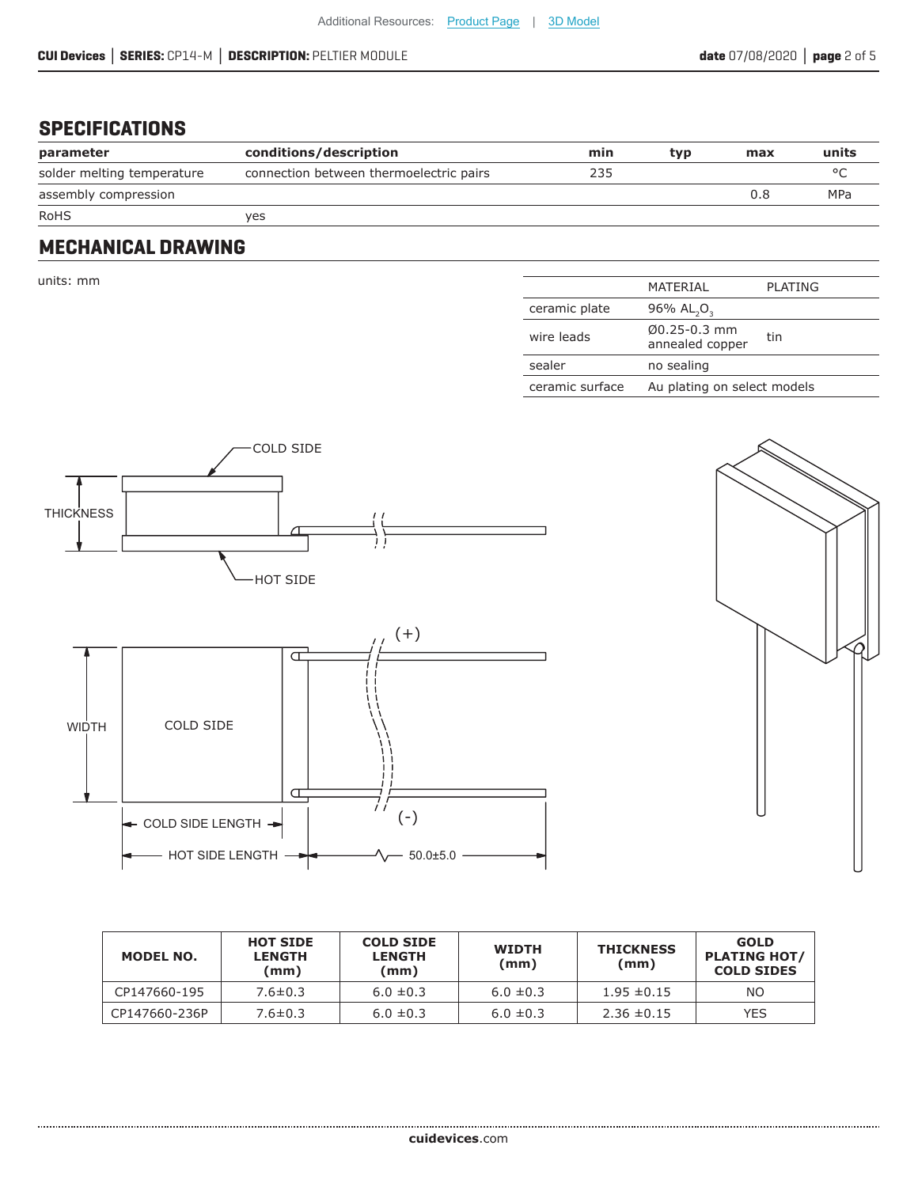#### **SPECIFICATIONS**

| conditions/description<br>parameter |                                         | min | tvp | max | units |
|-------------------------------------|-----------------------------------------|-----|-----|-----|-------|
| solder melting temperature          | connection between thermoelectric pairs | 235 |     |     |       |
| assembly compression                |                                         |     |     | 0.8 | MPa   |
| <b>RoHS</b>                         | ves                                     |     |     |     |       |

#### **MECHANICAL DRAWING**

|                 | MATERIAL                        | PLATING |
|-----------------|---------------------------------|---------|
| ceramic plate   | $96\%$ AL, O,                   |         |
| wire leads      | Ø0.25-0.3 mm<br>annealed copper | tin     |
| sealer          | no sealing                      |         |
| ceramic surface | Au plating on select models     |         |







| <b>MODEL NO.</b> | <b>HOT SIDE</b><br><b>LENGTH</b><br>(mm) | <b>COLD SIDE</b><br><b>LENGTH</b><br>(mm) | <b>WIDTH</b><br>(mm) | <b>THICKNESS</b><br>(mm) | <b>GOLD</b><br><b>PLATING HOT/</b><br><b>COLD SIDES</b> |  |
|------------------|------------------------------------------|-------------------------------------------|----------------------|--------------------------|---------------------------------------------------------|--|
| CP147660-195     | $7.6 \pm 0.3$                            | $6.0 \pm 0.3$                             | $6.0 \pm 0.3$        | $1.95 \pm 0.15$          | NO.                                                     |  |
| CP147660-236P    | $7.6 \pm 0.3$                            | $6.0 \pm 0.3$                             | $6.0 \pm 0.3$        | $2.36 \pm 0.15$          | <b>YES</b>                                              |  |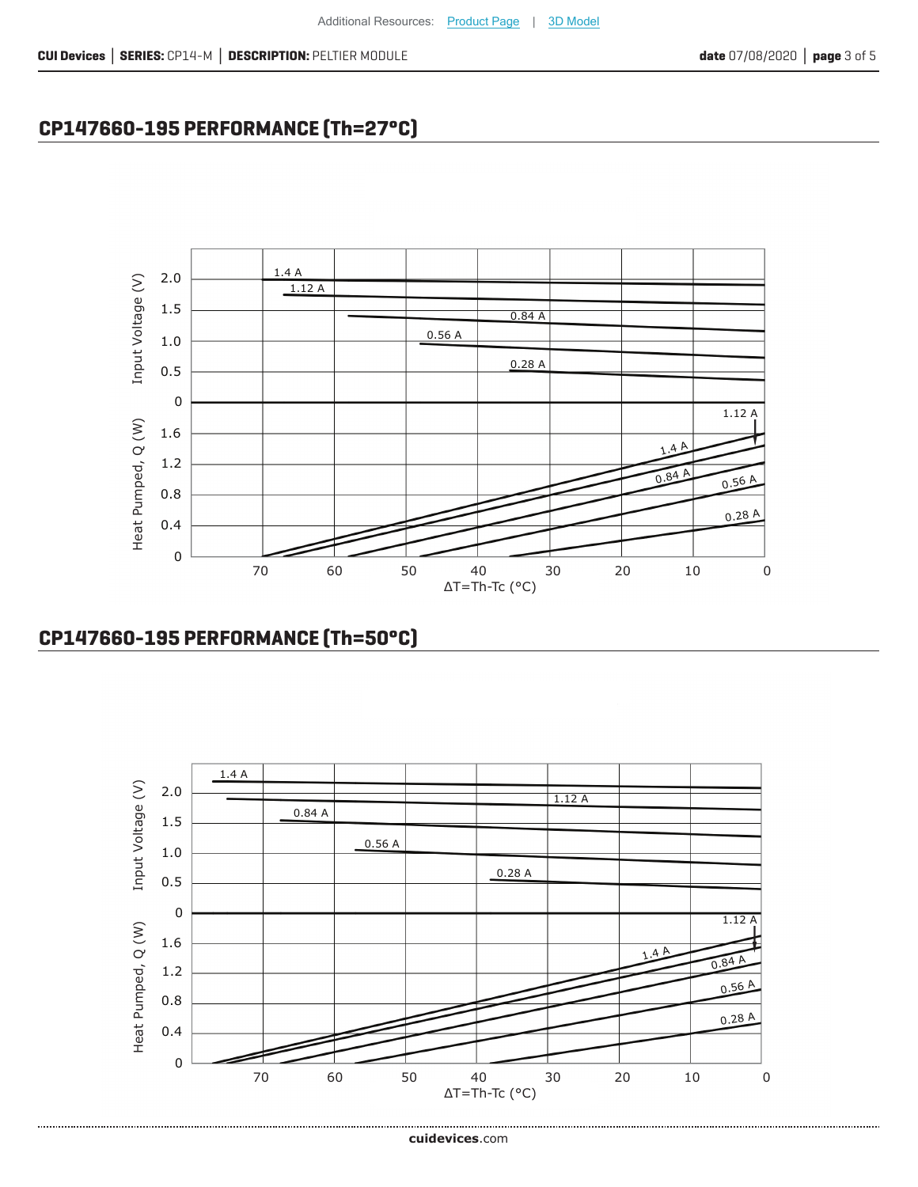## **CP147660-195 PERFORMANCE (Th=27°C)**



#### **CP147660-195 PERFORMANCE (Th=50°C)**

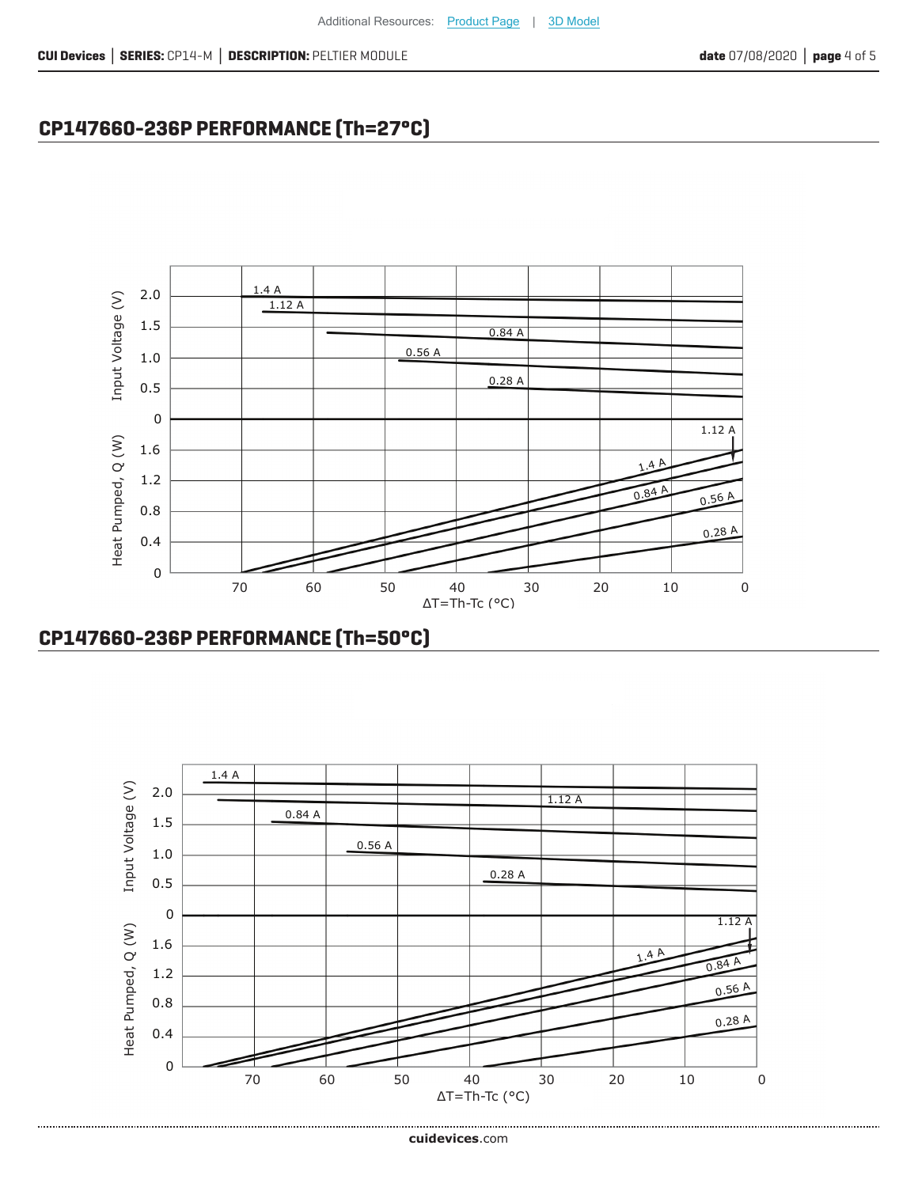

# **CP147660-236P PERFORMANCE (Th=50°C)**



Additional Resources: [Product Page](https://www.cuidevices.com/track?actionLabel=Datasheet-ClickThrough-ProductPage&label=CP14-M.pdf&path=%2fproduct%2fthermal-management%2fpeltier-devices%2fsingle-stage-peltier-modules%2fcp14-m-series) | [3D Model](https://www.cuidevices.com/track?actionLabel=Datasheet-ClickThrough-3dmodel&label=CP14-M.pdf&path=%2fresources%2fcad-model-library%3fModelNumber%3dCP14-M+Series)

# **CP147660-236P PERFORMANCE (Th=27°C)**